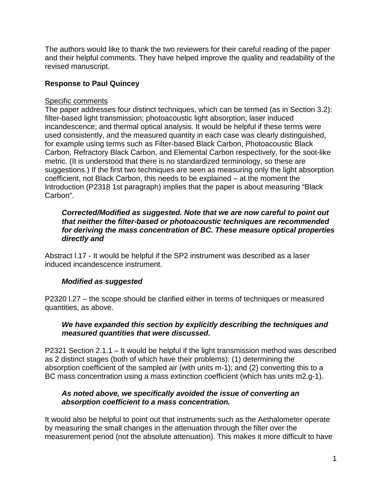The authors would like to thank the two reviewers for their careful reading of the paper and their helpful comments. They have helped improve the quality and readability of the revised manuscript.

## **Response to Paul Quincey**

### Specific comments

The paper addresses four distinct techniques, which can be termed (as in Section 3.2): filter-based light transmission; photoacoustic light absorption; laser induced incandescence; and thermal optical analysis. It would be helpful if these terms were used consistently, and the measured quantity in each case was clearly distinguished, for example using terms such as Filter-based Black Carbon, Photoacoustic Black Carbon, Refractory Black Carbon, and Elemental Carbon respectively, for the soot-like metric. (It is understood that there is no standardized terminology, so these are suggestions.) If the first two techniques are seen as measuring only the light absorption coefficient, not Black Carbon, this needs to be explained – at the moment the Introduction (P2318 1st paragraph) implies that the paper is about measuring "Black Carbon".

### *Corrected/Modified as suggested. Note that we are now careful to point out that neither the filter-based or photoacoustic techniques are recommended for deriving the mass concentration of BC. These measure optical properties directly and*

Abstract l.17 - It would be helpful if the SP2 instrument was described as a laser induced incandescence instrument.

## *Modified as suggested*

P2320 l.27 – the scope should be clarified either in terms of techniques or measured quantities, as above.

### *We have expanded this section by explicitly describing the techniques and measured quantities that were discussed.*

P2321 Section 2.1.1 – It would be helpful if the light transmission method was described as 2 distinct stages (both of which have their problems): (1) determining the absorption coefficient of the sampled air (with units m-1); and (2) converting this to a BC mass concentration using a mass extinction coefficient (which has units m2.g-1).

### *As noted above, we specifically avoided the issue of converting an absorption coefficient to a mass concentration.*

It would also be helpful to point out that instruments such as the Aethalometer operate by measuring the small changes in the attenuation through the filter over the measurement period (not the absolute attenuation). This makes it more difficult to have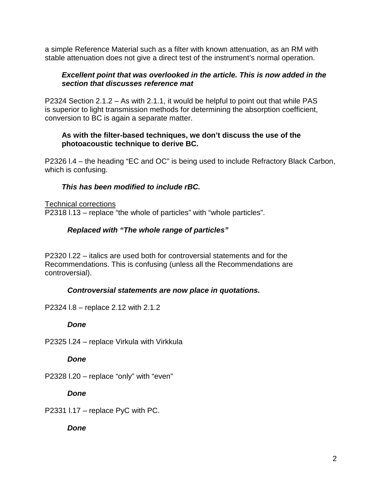a simple Reference Material such as a filter with known attenuation, as an RM with stable attenuation does not give a direct test of the instrument's normal operation.

### *Excellent point that was overlooked in the article. This is now added in the section that discusses reference mat*

P2324 Section 2.1.2 – As with 2.1.1, it would be helpful to point out that while PAS is superior to light transmission methods for determining the absorption coefficient, conversion to BC is again a separate matter.

### **As with the filter-based techniques, we don't discuss the use of the photoacoustic technique to derive BC.**

P2326 l.4 – the heading "EC and OC" is being used to include Refractory Black Carbon, which is confusing.

## *This has been modified to include rBC.*

Technical corrections P2318 l.13 – replace "the whole of particles" with "whole particles".

# *Replaced with "The whole range of particles"*

P2320 l.22 – italics are used both for controversial statements and for the Recommendations. This is confusing (unless all the Recommendations are controversial).

## *Controversial statements are now place in quotations.*

P2324 l.8 – replace 2.12 with 2.1.2

## *Done*

P2325 l.24 – replace Virkula with Virkkula

*Done*

P2328 l.20 – replace "only" with "even"

*Done*

P2331 l.17 – replace PyC with PC.

*Done*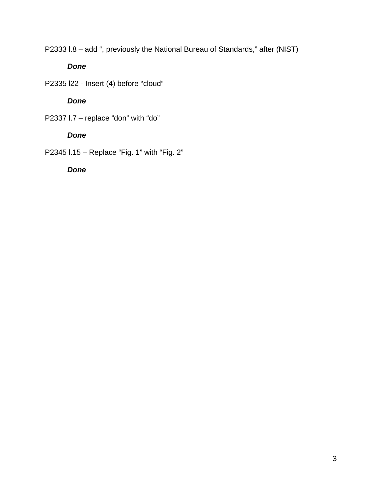P2333 l.8 – add ", previously the National Bureau of Standards," after (NIST)

*Done*

P2335 l22 - Insert (4) before "cloud"

*Done*

P2337 I.7 - replace "don" with "do"

# *Done*

P2345 l.15 – Replace "Fig. 1" with "Fig. 2"

*Done*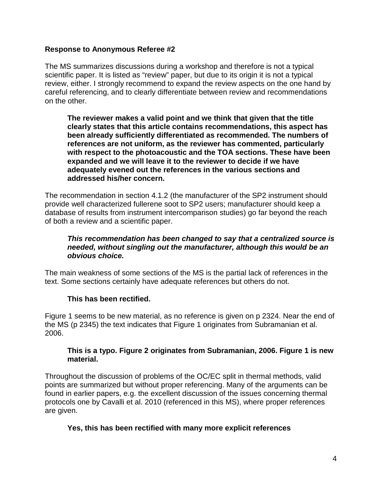### **Response to Anonymous Referee #2**

The MS summarizes discussions during a workshop and therefore is not a typical scientific paper. It is listed as "review" paper, but due to its origin it is not a typical review, either. I strongly recommend to expand the review aspects on the one hand by careful referencing, and to clearly differentiate between review and recommendations on the other.

**The reviewer makes a valid point and we think that given that the title clearly states that this article contains recommendations, this aspect has been already sufficiently differentiated as recommended. The numbers of references are not uniform, as the reviewer has commented, particularly with respect to the photoacoustic and the TOA sections. These have been expanded and we will leave it to the reviewer to decide if we have adequately evened out the references in the various sections and addressed his/her concern.**

The recommendation in section 4.1.2 (the manufacturer of the SP2 instrument should provide well characterized fullerene soot to SP2 users; manufacturer should keep a database of results from instrument intercomparison studies) go far beyond the reach of both a review and a scientific paper.

### *This recommendation has been changed to say that a centralized source is needed, without singling out the manufacturer, although this would be an obvious choice.*

The main weakness of some sections of the MS is the partial lack of references in the text. Some sections certainly have adequate references but others do not.

## **This has been rectified.**

Figure 1 seems to be new material, as no reference is given on p 2324. Near the end of the MS (p 2345) the text indicates that Figure 1 originates from Subramanian et al. 2006.

### **This is a typo. Figure 2 originates from Subramanian, 2006. Figure 1 is new material.**

Throughout the discussion of problems of the OC/EC split in thermal methods, valid points are summarized but without proper referencing. Many of the arguments can be found in earlier papers, e.g. the excellent discussion of the issues concerning thermal protocols one by Cavalli et al. 2010 (referenced in this MS), where proper references are given.

### **Yes, this has been rectified with many more explicit references**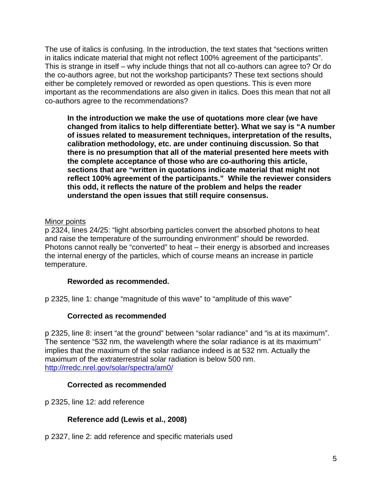The use of italics is confusing. In the introduction, the text states that "sections written in italics indicate material that might not reflect 100% agreement of the participants". This is strange in itself – why include things that not all co-authors can agree to? Or do the co-authors agree, but not the workshop participants? These text sections should either be completely removed or reworded as open questions. This is even more important as the recommendations are also given in italics. Does this mean that not all co-authors agree to the recommendations?

**In the introduction we make the use of quotations more clear (we have changed from italics to help differentiate better). What we say is "A number of issues related to measurement techniques, interpretation of the results, calibration methodology, etc. are under continuing discussion. So that there is no presumption that all of the material presented here meets with the complete acceptance of those who are co-authoring this article, sections that are "written in quotations indicate material that might not reflect 100% agreement of the participants." While the reviewer considers this odd, it reflects the nature of the problem and helps the reader understand the open issues that still require consensus.** 

### Minor points

p 2324, lines 24/25: "light absorbing particles convert the absorbed photons to heat and raise the temperature of the surrounding environment" should be reworded. Photons cannot really be "converted" to heat – their energy is absorbed and increases the internal energy of the particles, which of course means an increase in particle temperature.

### **Reworded as recommended.**

p 2325, line 1: change "magnitude of this wave" to "amplitude of this wave"

## **Corrected as recommended**

p 2325, line 8: insert "at the ground" between "solar radiance" and "is at its maximum". The sentence "532 nm, the wavelength where the solar radiance is at its maximum" implies that the maximum of the solar radiance indeed is at 532 nm. Actually the maximum of the extraterrestrial solar radiation is below 500 nm. <http://rredc.nrel.gov/solar/spectra/am0/>

### **Corrected as recommended**

p 2325, line 12: add reference

## **Reference add (Lewis et al., 2008)**

p 2327, line 2: add reference and specific materials used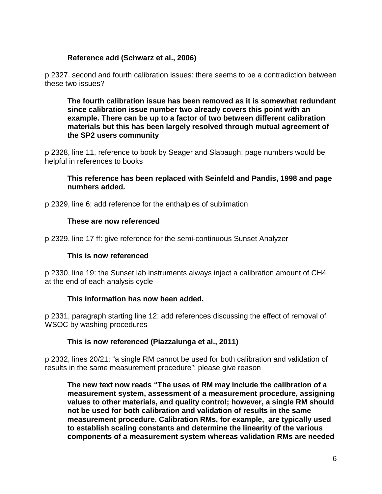### **Reference add (Schwarz et al., 2006)**

p 2327, second and fourth calibration issues: there seems to be a contradiction between these two issues?

**The fourth calibration issue has been removed as it is somewhat redundant since calibration issue number two already covers this point with an example. There can be up to a factor of two between different calibration materials but this has been largely resolved through mutual agreement of the SP2 users community**

p 2328, line 11, reference to book by Seager and Slabaugh: page numbers would be helpful in references to books

### **This reference has been replaced with Seinfeld and Pandis, 1998 and page numbers added.**

p 2329, line 6: add reference for the enthalpies of sublimation

### **These are now referenced**

p 2329, line 17 ff: give reference for the semi-continuous Sunset Analyzer

### **This is now referenced**

p 2330, line 19: the Sunset lab instruments always inject a calibration amount of CH4 at the end of each analysis cycle

### **This information has now been added.**

p 2331, paragraph starting line 12: add references discussing the effect of removal of WSOC by washing procedures

### **This is now referenced (Piazzalunga et al., 2011)**

p 2332, lines 20/21: "a single RM cannot be used for both calibration and validation of results in the same measurement procedure": please give reason

**The new text now reads "The uses of RM may include the calibration of a measurement system, assessment of a measurement procedure, assigning values to other materials, and quality control; however, a single RM should not be used for both calibration and validation of results in the same measurement procedure. Calibration RMs, for example, are typically used to establish scaling constants and determine the linearity of the various components of a measurement system whereas validation RMs are needed**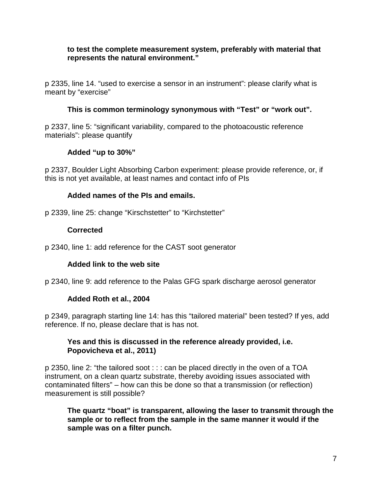### **to test the complete measurement system, preferably with material that represents the natural environment."**

p 2335, line 14. "used to exercise a sensor in an instrument": please clarify what is meant by "exercise"

## **This is common terminology synonymous with "Test" or "work out".**

p 2337, line 5: "significant variability, compared to the photoacoustic reference materials": please quantify

### **Added "up to 30%"**

p 2337, Boulder Light Absorbing Carbon experiment: please provide reference, or, if this is not yet available, at least names and contact info of PIs

### **Added names of the PIs and emails.**

p 2339, line 25: change "Kirschstetter" to "Kirchstetter"

### **Corrected**

p 2340, line 1: add reference for the CAST soot generator

## **Added link to the web site**

p 2340, line 9: add reference to the Palas GFG spark discharge aerosol generator

## **Added Roth et al., 2004**

p 2349, paragraph starting line 14: has this "tailored material" been tested? If yes, add reference. If no, please declare that is has not.

### **Yes and this is discussed in the reference already provided, i.e. Popovicheva et al., 2011)**

p 2350, line 2: "the tailored soot : : : can be placed directly in the oven of a TOA instrument, on a clean quartz substrate, thereby avoiding issues associated with contaminated filters" – how can this be done so that a transmission (or reflection) measurement is still possible?

**The quartz "boat" is transparent, allowing the laser to transmit through the sample or to reflect from the sample in the same manner it would if the sample was on a filter punch.**